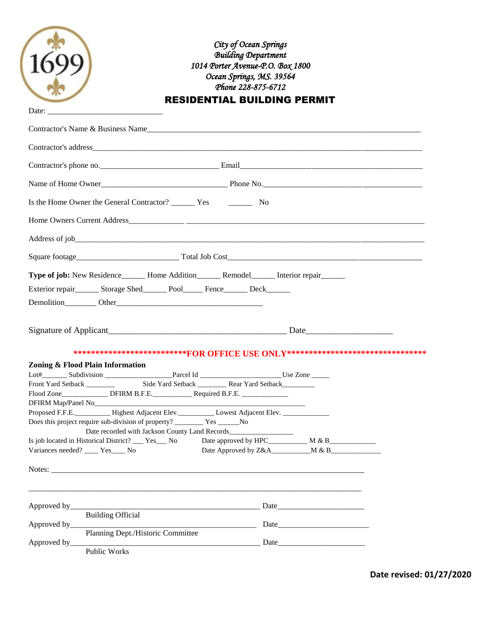| Date:                                                                                                                                                                                                                                                                                                                                                                                                                                                                  | City of Ocean Springs<br><b>Building Department</b><br>1014 Porter Avenue-P.O. Box 1800<br>Ocean Springs, MS. 39564<br>Phone 228-875-6712<br><b>RESIDENTIAL BUILDING PERMIT</b>                                                |
|------------------------------------------------------------------------------------------------------------------------------------------------------------------------------------------------------------------------------------------------------------------------------------------------------------------------------------------------------------------------------------------------------------------------------------------------------------------------|--------------------------------------------------------------------------------------------------------------------------------------------------------------------------------------------------------------------------------|
|                                                                                                                                                                                                                                                                                                                                                                                                                                                                        | Contractor's Name & Business Name                                                                                                                                                                                              |
|                                                                                                                                                                                                                                                                                                                                                                                                                                                                        | Contractor's address experience and the contractor's address experience and the contractor's address experience and the contractor's address experience and the contractor's address experience and the contractor's address e |
|                                                                                                                                                                                                                                                                                                                                                                                                                                                                        |                                                                                                                                                                                                                                |
|                                                                                                                                                                                                                                                                                                                                                                                                                                                                        |                                                                                                                                                                                                                                |
|                                                                                                                                                                                                                                                                                                                                                                                                                                                                        |                                                                                                                                                                                                                                |
|                                                                                                                                                                                                                                                                                                                                                                                                                                                                        |                                                                                                                                                                                                                                |
|                                                                                                                                                                                                                                                                                                                                                                                                                                                                        |                                                                                                                                                                                                                                |
|                                                                                                                                                                                                                                                                                                                                                                                                                                                                        |                                                                                                                                                                                                                                |
| Exterior repair________ Storage Shed_________ Pool_______ Fence________ Deck_______                                                                                                                                                                                                                                                                                                                                                                                    | Type of job: New Residence_______ Home Addition_______ Remodel_______ Interior repair______                                                                                                                                    |
|                                                                                                                                                                                                                                                                                                                                                                                                                                                                        |                                                                                                                                                                                                                                |
| Zoning & Flood Plain Information<br>Front Yard Setback ________<br>DFIRM Map/Panel No<br><u>Letter and the substitute</u> of the set of the set of the set of the set of the set of the set of the set of the set of the set of the set of the set of the set of the set of the set of the set of the se<br>Proposed F.F.E. Highest Adjacent Elev. Lowest Adjacent Elev.<br>Is job located in Historical District? ____ Yes___ No<br>Variances needed? ____ Yes____ No | ***************************FOR OFFICE USE ONLY*********************************<br>Side Yard Setback __________ Rear Yard Setback________                                                                                      |
| Approved by_____<br><b>Building Official</b><br>Approved by___<br>Public Works                                                                                                                                                                                                                                                                                                                                                                                         | Date                                                                                                                                                                                                                           |

**Date revised: 01/27/2020**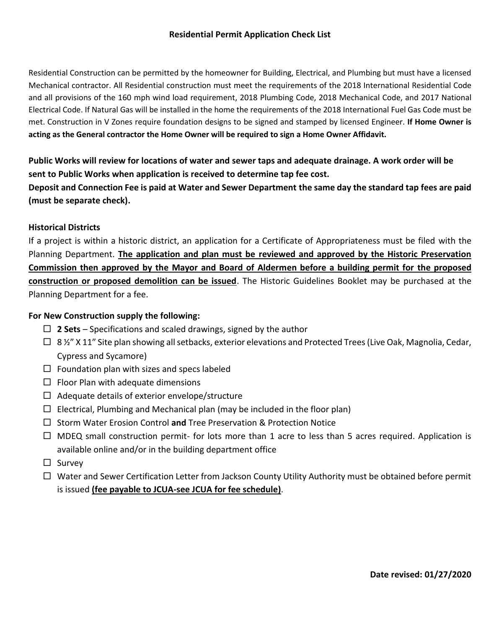#### **Residential Permit Application Check List**

Residential Construction can be permitted by the homeowner for Building, Electrical, and Plumbing but must have a licensed Mechanical contractor. All Residential construction must meet the requirements of the 2018 International Residential Code and all provisions of the 160 mph wind load requirement, 2018 Plumbing Code, 2018 Mechanical Code, and 2017 National Electrical Code. If Natural Gas will be installed in the home the requirements of the 2018 International Fuel Gas Code must be met. Construction in V Zones require foundation designs to be signed and stamped by licensed Engineer. **If Home Owner is acting as the General contractor the Home Owner will be required to sign a Home Owner Affidavit.**

**Public Works will review for locations of water and sewer taps and adequate drainage. A work order will be sent to Public Works when application is received to determine tap fee cost.** 

**Deposit and Connection Fee is paid at Water and Sewer Department the same day the standard tap fees are paid (must be separate check).**

#### **Historical Districts**

If a project is within a historic district, an application for a Certificate of Appropriateness must be filed with the Planning Department. **The application and plan must be reviewed and approved by the Historic Preservation Commission then approved by the Mayor and Board of Aldermen before a building permit for the proposed construction or proposed demolition can be issued**. The Historic Guidelines Booklet may be purchased at the Planning Department for a fee.

#### **For New Construction supply the following:**

- **2 Sets** Specifications and scaled drawings, signed by the author
- $\Box$  8 1/2" X 11" Site plan showing all setbacks, exterior elevations and Protected Trees (Live Oak, Magnolia, Cedar, Cypress and Sycamore)
- $\Box$  Foundation plan with sizes and specs labeled
- $\Box$  Floor Plan with adequate dimensions
- $\Box$  Adequate details of exterior envelope/structure
- $\Box$  Electrical, Plumbing and Mechanical plan (may be included in the floor plan)
- □ Storm Water Erosion Control and Tree Preservation & Protection Notice
- $\Box$  MDEQ small construction permit- for lots more than 1 acre to less than 5 acres required. Application is available online and/or in the building department office
- $\square$  Survey
- □ Water and Sewer Certification Letter from Jackson County Utility Authority must be obtained before permit is issued **(fee payable to JCUA-see JCUA for fee schedule)**.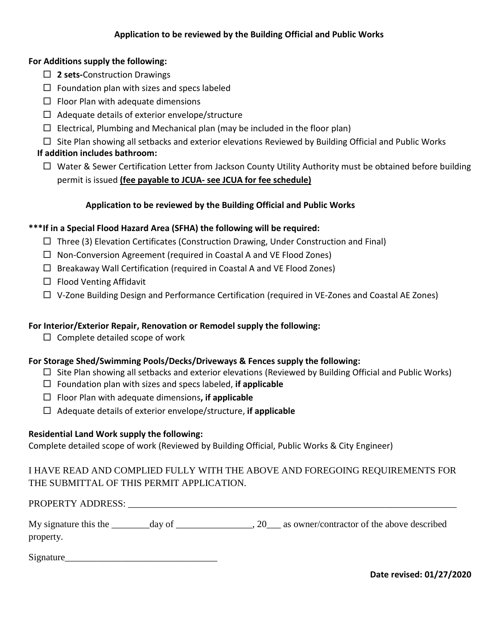#### **For Additions supply the following:**

- **2 sets-**Construction Drawings
- $\Box$  Foundation plan with sizes and specs labeled
- $\Box$  Floor Plan with adequate dimensions
- $\Box$  Adequate details of exterior envelope/structure
- $\Box$  Electrical, Plumbing and Mechanical plan (may be included in the floor plan)
- $\Box$  Site Plan showing all setbacks and exterior elevations Reviewed by Building Official and Public Works

## **If addition includes bathroom:**

 $\Box$  Water & Sewer Certification Letter from Jackson County Utility Authority must be obtained before building permit is issued **(fee payable to JCUA- see JCUA for fee schedule)**

# **Application to be reviewed by the Building Official and Public Works**

### **\*\*\*If in a Special Flood Hazard Area (SFHA) the following will be required:**

- $\Box$  Three (3) Elevation Certificates (Construction Drawing, Under Construction and Final)
- $\Box$  Non-Conversion Agreement (required in Coastal A and VE Flood Zones)
- $\Box$  Breakaway Wall Certification (required in Coastal A and VE Flood Zones)
- $\Box$  Flood Venting Affidavit
- $\Box$  V-Zone Building Design and Performance Certification (required in VE-Zones and Coastal AE Zones)

### **For Interior/Exterior Repair, Renovation or Remodel supply the following:**

 $\Box$  Complete detailed scope of work

### **For Storage Shed/Swimming Pools/Decks/Driveways & Fences supply the following:**

- $\Box$  Site Plan showing all setbacks and exterior elevations (Reviewed by Building Official and Public Works)
- Foundation plan with sizes and specs labeled, **if applicable**
- Floor Plan with adequate dimensions**, if applicable**
- Adequate details of exterior envelope/structure, **if applicable**

### **Residential Land Work supply the following:**

Complete detailed scope of work (Reviewed by Building Official, Public Works & City Engineer)

# I HAVE READ AND COMPLIED FULLY WITH THE ABOVE AND FOREGOING REQUIREMENTS FOR THE SUBMITTAL OF THIS PERMIT APPLICATION.

# PROPERTY ADDRESS: \_\_\_\_\_\_\_\_\_\_\_\_\_\_\_\_\_\_\_\_\_\_\_\_\_\_\_\_\_\_\_\_\_\_\_\_\_\_\_\_\_\_\_\_\_\_\_\_\_\_\_\_\_\_\_\_\_\_\_\_\_\_\_\_\_\_\_\_\_ My signature this the day of day of  $\frac{1}{20}$ , 20 as owner/contractor of the above described

Signature\_\_\_\_\_\_\_\_\_\_\_\_\_\_\_\_\_\_\_\_\_\_\_\_\_\_\_\_\_\_\_\_

property.

**Date revised: 01/27/2020**